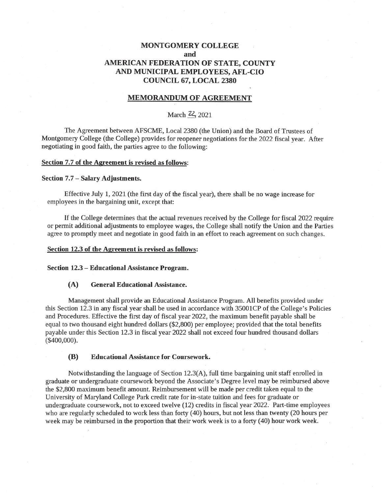# **MONTGOMERY COLLEGE** and AMERICAN FEDERATION OF STATE, COUNTY AND MUNICIPAL EMPLOYEES, AFL-CIO **COUNCIL 67, LOCAL 2380**

# **MEMORANDUM OF AGREEMENT**

# March 22, 2021

The Agreement between AFSCME, Local 2380 (the Union) and the Board of Trustees of Montgomery College (the College) provides for reopener negotiations for the 2022 fiscal year. After negotiating in good faith, the parties agree to the following:

## Section 7.7 of the Agreement is revised as follows:

## Section 7.7 - Salary Adjustments.

Effective July 1, 2021 (the first day of the fiscal year), there shall be no wage increase for employees in the bargaining unit, except that:

If the College determines that the actual revenues received by the College for fiscal 2022 require or permit additional adjustments to employee wages, the College shall notify the Union and the Parties agree to promptly meet and negotiate in good faith in an effort to reach agreement on such changes.

### Section 12.3 of the Agreement is revised as follows:

### Section 12.3 - Educational Assistance Program.

#### $(A)$ **General Educational Assistance.**

Management shall provide an Educational Assistance Program. All benefits provided under this Section 12.3 in any fiscal year shall be used in accordance with 35001CP of the College's Policies and Procedures. Effective the first day of fiscal year 2022, the maximum benefit payable shall be equal to two thousand eight hundred dollars (\$2,800) per employee; provided that the total benefits payable under this Section 12.3 in fiscal year 2022 shall not exceed four hundred thousand dollars  $($400,000).$ 

#### **Educational Assistance for Coursework.** (B)

Notwithstanding the language of Section 12.3(A), full time bargaining unit staff enrolled in graduate or undergraduate coursework beyond the Associate's Degree level may be reimbursed above the \$2,800 maximum benefit amount. Reimbursement will be made per credit taken equal to the University of Maryland College Park credit rate for in-state tuition and fees for graduate or undergraduate coursework, not to exceed twelve (12) credits in fiscal year 2022. Part-time employees who are regularly scheduled to work less than forty (40) hours, but not less than twenty (20 hours per week may be reimbursed in the proportion that their work week is to a forty (40) hour work week.